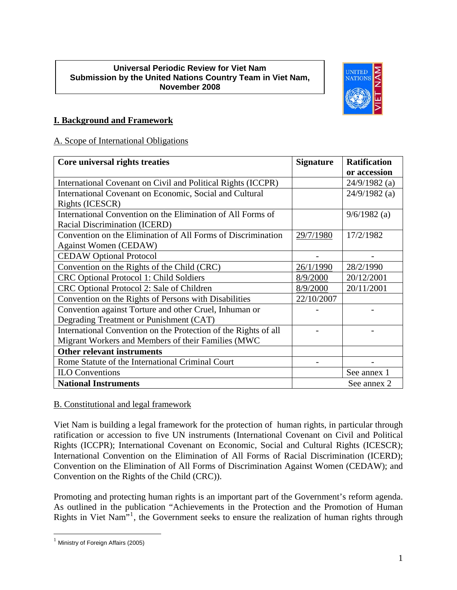#### **Universal Periodic Review for Viet Nam Submission by the United Nations Country Team in Viet Nam, November 2008**



# **I. Background and Framework**

# A. Scope of International Obligations

| Core universal rights treaties                                      | <b>Signature</b> | <b>Ratification</b> |
|---------------------------------------------------------------------|------------------|---------------------|
|                                                                     |                  | or accession        |
| International Covenant on Civil and Political Rights (ICCPR)        |                  | $24/9/1982$ (a)     |
| International Covenant on Economic, Social and Cultural             |                  | $24/9/1982$ (a)     |
| Rights (ICESCR)                                                     |                  |                     |
| International Convention on the Elimination of All Forms of         |                  | $9/6/1982$ (a)      |
| Racial Discrimination (ICERD)                                       |                  |                     |
| Convention on the Elimination of All Forms of Discrimination        | 29/7/1980        | 17/2/1982           |
| <b>Against Women (CEDAW)</b>                                        |                  |                     |
| <b>CEDAW Optional Protocol</b>                                      |                  |                     |
| Convention on the Rights of the Child (CRC)                         | 26/1/1990        | 28/2/1990           |
| <b>CRC Optional Protocol 1: Child Soldiers</b>                      | 8/9/2000         | 20/12/2001          |
| CRC Optional Protocol 2: Sale of Children                           | 8/9/2000         | 20/11/2001          |
| Convention on the Rights of Persons with Disabilities<br>22/10/2007 |                  |                     |
| Convention against Torture and other Cruel, Inhuman or              |                  |                     |
| Degrading Treatment or Punishment (CAT)                             |                  |                     |
| International Convention on the Protection of the Rights of all     |                  |                     |
| Migrant Workers and Members of their Families (MWC                  |                  |                     |
| <b>Other relevant instruments</b>                                   |                  |                     |
| Rome Statute of the International Criminal Court                    |                  |                     |
| <b>ILO</b> Conventions                                              |                  | See annex 1         |
| <b>National Instruments</b>                                         |                  | See annex 2         |

# B. Constitutional and legal framework

Viet Nam is building a legal framework for the protection of human rights, in particular through ratification or accession to five UN instruments (International Covenant on Civil and Political Rights (ICCPR); International Covenant on Economic, Social and Cultural Rights (ICESCR); International Convention on the Elimination of All Forms of Racial Discrimination (ICERD); Convention on the Elimination of All Forms of Discrimination Against Women (CEDAW); and Convention on the Rights of the Child (CRC)).

Promoting and protecting human rights is an important part of the Government's reform agenda. As outlined in the publication "Achievements in the Protection and the Promotion of Human Rights in Viet Nam<sup>3,[1](#page-0-0)</sup>, the Government seeks to ensure the realization of human rights through

<span id="page-0-0"></span> $1$  Ministry of Foreign Affairs (2005)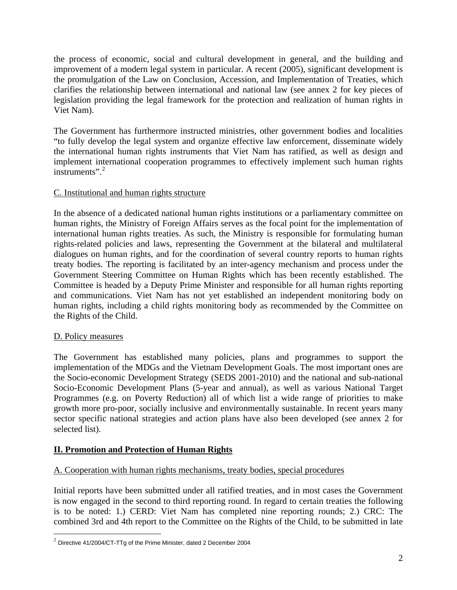the process of economic, social and cultural development in general, and the building and improvement of a modern legal system in particular. A recent (2005), significant development is the promulgation of the Law on Conclusion, Accession, and Implementation of Treaties, which clarifies the relationship between international and national law (see annex 2 for key pieces of legislation providing the legal framework for the protection and realization of human rights in Viet Nam).

The Government has furthermore instructed ministries, other government bodies and localities "to fully develop the legal system and organize effective law enforcement, disseminate widely the international human rights instruments that Viet Nam has ratified, as well as design and implement international cooperation programmes to effectively implement such human rights instruments".<sup>[2](#page-1-0)</sup>

# C. Institutional and human rights structure

In the absence of a dedicated national human rights institutions or a parliamentary committee on human rights, the Ministry of Foreign Affairs serves as the focal point for the implementation of international human rights treaties. As such, the Ministry is responsible for formulating human rights-related policies and laws, representing the Government at the bilateral and multilateral dialogues on human rights, and for the coordination of several country reports to human rights treaty bodies. The reporting is facilitated by an inter-agency mechanism and process under the Government Steering Committee on Human Rights which has been recently established. The Committee is headed by a Deputy Prime Minister and responsible for all human rights reporting and communications. Viet Nam has not yet established an independent monitoring body on human rights, including a child rights monitoring body as recommended by the Committee on the Rights of the Child.

# D. Policy measures

 $\overline{a}$ 

The Government has established many policies, plans and programmes to support the implementation of the MDGs and the Vietnam Development Goals. The most important ones are the Socio-economic Development Strategy (SEDS 2001-2010) and the national and sub-national Socio-Economic Development Plans (5-year and annual), as well as various National Target Programmes (e.g. on Poverty Reduction) all of which list a wide range of priorities to make growth more pro-poor, socially inclusive and environmentally sustainable. In recent years many sector specific national strategies and action plans have also been developed (see annex 2 for selected list).

# **II. Promotion and Protection of Human Rights**

# A. Cooperation with human rights mechanisms, treaty bodies, special procedures

Initial reports have been submitted under all ratified treaties, and in most cases the Government is now engaged in the second to third reporting round. In regard to certain treaties the following is to be noted: 1.) CERD: Viet Nam has completed nine reporting rounds; 2.) CRC: The combined 3rd and 4th report to the Committee on the Rights of the Child, to be submitted in late

<span id="page-1-0"></span> $2$  Directive 41/2004/CT-TTg of the Prime Minister, dated 2 December 2004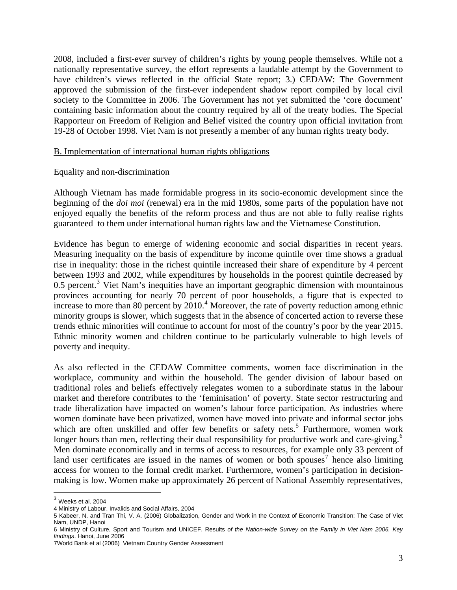2008, included a first-ever survey of children's rights by young people themselves. While not a nationally representative survey, the effort represents a laudable attempt by the Government to have children's views reflected in the official State report; 3.) CEDAW: The Government approved the submission of the first-ever independent shadow report compiled by local civil society to the Committee in 2006. The Government has not yet submitted the 'core document' containing basic information about the country required by all of the treaty bodies. The Special Rapporteur on Freedom of Religion and Belief visited the country upon official invitation from 19-28 of October 1998. Viet Nam is not presently a member of any human rights treaty body.

#### B. Implementation of international human rights obligations

#### Equality and non-discrimination

Although Vietnam has made formidable progress in its socio-economic development since the beginning of the *doi moi* (renewal) era in the mid 1980s, some parts of the population have not enjoyed equally the benefits of the reform process and thus are not able to fully realise rights guaranteed to them under international human rights law and the Vietnamese Constitution.

Evidence has begun to emerge of widening economic and social disparities in recent years. Measuring inequality on the basis of expenditure by income quintile over time shows a gradual rise in inequality: those in the richest quintile increased their share of expenditure by 4 percent between 1993 and 2002, while expenditures by households in the poorest quintile decreased by  $0.5$  percent.<sup>[3](#page-2-0)</sup> Viet Nam's inequities have an important geographic dimension with mountainous provinces accounting for nearly 70 percent of poor households, a figure that is expected to increase to more than 80 percent by  $2010<sup>4</sup>$  $2010<sup>4</sup>$  $2010<sup>4</sup>$  Moreover, the rate of poverty reduction among ethnic minority groups is slower, which suggests that in the absence of concerted action to reverse these trends ethnic minorities will continue to account for most of the country's poor by the year 2015. Ethnic minority women and children continue to be particularly vulnerable to high levels of poverty and inequity.

As also reflected in the CEDAW Committee comments, women face discrimination in the workplace, community and within the household. The gender division of labour based on traditional roles and beliefs effectively relegates women to a subordinate status in the labour market and therefore contributes to the 'feminisation' of poverty. State sector restructuring and trade liberalization have impacted on women's labour force participation. As industries where women dominate have been privatized, women have moved into private and informal sector jobs which are often unskilled and offer few benefits or safety nets.<sup>[5](#page-2-2)</sup> Furthermore, women work longer hours than men, reflecting their dual responsibility for productive work and care-giving.<sup>[6](#page-2-3)</sup> Men dominate economically and in terms of access to resources, for example only 33 percent of land user certificates are issued in the names of women or both spouses<sup>[7](#page-2-4)</sup> hence also limiting access for women to the formal credit market. Furthermore, women's participation in decisionmaking is low. Women make up approximately 26 percent of National Assembly representatives,

<span id="page-2-0"></span> $^3$  Weeks et al. 2004

<span id="page-2-1"></span><sup>4</sup> Ministry of Labour, Invalids and Social Affairs, 2004

<span id="page-2-2"></span><sup>5</sup> Kabeer, N. and Tran Thi, V. A. (2006) Globalization, Gender and Work in the Context of Economic Transition: The Case of Viet Nam, UNDP, Hanoi

<span id="page-2-3"></span><sup>6</sup> Ministry of Culture, Sport and Tourism and UNICEF. Results *of the Nation-wide Survey on the Family in Viet Nam 2006. Key findings*. Hanoi, June 2006

<span id="page-2-4"></span><sup>7</sup>World Bank et al (2006) Vietnam Country Gender Assessment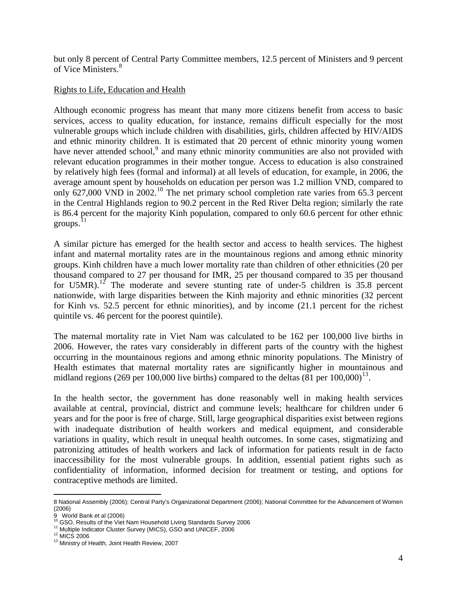but only 8 percent of Central Party Committee members, 12.5 percent of Ministers and 9 percent of Vice Ministers.<sup>[8](#page-3-0)</sup>

### Rights to Life, Education and Health

Although economic progress has meant that many more citizens benefit from access to basic services, access to quality education, for instance, remains difficult especially for the most vulnerable groups which include children with disabilities, girls, children affected by HIV/AIDS and ethnic minority children. It is estimated that 20 percent of ethnic minority young women have never attended school,<sup>[9](#page-3-1)</sup> and many ethnic minority communities are also not provided with relevant education programmes in their mother tongue. Access to education is also constrained by relatively high fees (formal and informal) at all levels of education, for example, in 2006, the average amount spent by households on education per person was 1.2 million VND, compared to only  $627,000$  VND in  $2002$ .<sup>[10](#page-3-2)</sup> The net primary school completion rate varies from  $65.3$  percent in the Central Highlands region to 90.2 percent in the Red River Delta region; similarly the rate is 86.4 percent for the majority Kinh population, compared to only 60.6 percent for other ethnic groups. $^{11}$  $^{11}$  $^{11}$ 

A similar picture has emerged for the health sector and access to health services. The highest infant and maternal mortality rates are in the mountainous regions and among ethnic minority groups. Kinh children have a much lower mortality rate than children of other ethnicities (20 per thousand compared to 27 per thousand for IMR, 25 per thousand compared to 35 per thousand for U5MR).<sup>[12](#page-3-4)</sup> The moderate and severe stunting rate of under-5 children is  $35.8$  percent nationwide, with large disparities between the Kinh majority and ethnic minorities (32 percent for Kinh vs. 52.5 percent for ethnic minorities), and by income (21.1 percent for the richest quintile vs. 46 percent for the poorest quintile).

The maternal mortality rate in Viet Nam was calculated to be 162 per 100,000 live births in 2006. However, the rates vary considerably in different parts of the country with the highest occurring in the mountainous regions and among ethnic minority populations. The Ministry of Health estimates that maternal mortality rates are significantly higher in mountainous and midland regions (269 per 100,000 live births) compared to the deltas (81 per  $100,000$ )<sup>13</sup>.

In the health sector, the government has done reasonably well in making health services available at central, provincial, district and commune levels; healthcare for children under 6 years and for the poor is free of charge. Still, large geographical disparities exist between regions with inadequate distribution of health workers and medical equipment, and considerable variations in quality, which result in unequal health outcomes. In some cases, stigmatizing and patronizing attitudes of health workers and lack of information for patients result in de facto inaccessibility for the most vulnerable groups. In addition, essential patient rights such as confidentiality of information, informed decision for treatment or testing, and options for contraceptive methods are limited.

<span id="page-3-0"></span><sup>1</sup> 8 National Assembly (2006); Central Party's Organizational Department (2006); National Committee for the Advancement of Women (2006)

<span id="page-3-1"></span><sup>9</sup> World Bank et al (2006)<br><sup>10</sup> GSO, Results of the Viet Nam Household Living Standards Survey 2006

<span id="page-3-3"></span><span id="page-3-2"></span><sup>&</sup>lt;sup>11</sup> Multiple Indicator Cluster Survey (MICS), GSO and UNICEF, 2006 <sup>12</sup> MICS 2006 13 Ministry of Health, Joint Health Review, 2007

<span id="page-3-4"></span>

<span id="page-3-5"></span>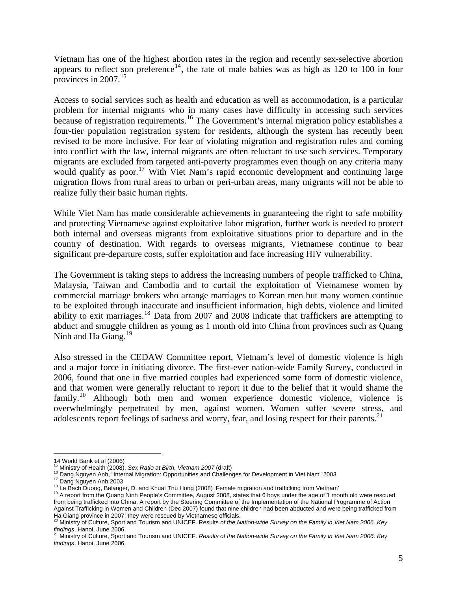Vietnam has one of the highest abortion rates in the region and recently sex-selective abortion appears to reflect son preference<sup>[14](#page-4-0)</sup>, the rate of male babies was as high as 120 to 100 in four provinces in 2007.<sup>[15](#page-4-1)</sup>

Access to social services such as health and education as well as accommodation, is a particular problem for internal migrants who in many cases have difficulty in accessing such services because of registration requirements.<sup>[16](#page-4-2)</sup> The Government's internal migration policy establishes a four-tier population registration system for residents, although the system has recently been revised to be more inclusive. For fear of violating migration and registration rules and coming into conflict with the law, internal migrants are often reluctant to use such services. Temporary migrants are excluded from targeted anti-poverty programmes even though on any criteria many would qualify as poor.<sup>[17](#page-4-3)</sup> With Viet Nam's rapid economic development and continuing large migration flows from rural areas to urban or peri-urban areas, many migrants will not be able to realize fully their basic human rights.

While Viet Nam has made considerable achievements in guaranteeing the right to safe mobility and protecting Vietnamese against exploitative labor migration, further work is needed to protect both internal and overseas migrants from exploitative situations prior to departure and in the country of destination. With regards to overseas migrants, Vietnamese continue to bear significant pre-departure costs, suffer exploitation and face increasing HIV vulnerability.

The Government is taking steps to address the increasing numbers of people trafficked to China, Malaysia, Taiwan and Cambodia and to curtail the exploitation of Vietnamese women by commercial marriage brokers who arrange marriages to Korean men but many women continue to be exploited through inaccurate and insufficient information, high debts, violence and limited ability to exit marriages.[18](#page-4-4) Data from 2007 and 2008 indicate that traffickers are attempting to abduct and smuggle children as young as 1 month old into China from provinces such as Quang Ninh and Ha Giang. $^{19}$  $^{19}$  $^{19}$ 

Also stressed in the CEDAW Committee report, Vietnam's level of domestic violence is high and a major force in initiating divorce. The first-ever nation-wide Family Survey, conducted in 2006, found that one in five married couples had experienced some form of domestic violence, and that women were generally reluctant to report it due to the belief that it would shame the family.<sup>[20](#page-4-6)</sup> Although both men and women experience domestic violence, violence is overwhelmingly perpetrated by men, against women. Women suffer severe stress, and adolescents report feelings of sadness and worry, fear, and losing respect for their parents.<sup>[21](#page-4-7)</sup>

<span id="page-4-0"></span><sup>14</sup> World Bank et al (2006)<br><sup>15</sup> Ministry of Health (2008), Sex Ratio at Birth, Vietnam 2007 (draft)

<span id="page-4-5"></span><span id="page-4-4"></span>

<span id="page-4-3"></span><span id="page-4-2"></span><span id="page-4-1"></span><sup>&</sup>lt;sup>16</sup> Dang Nguyen Anh, "Internal Migration: Opportunities and Challenges for Development in Viet Nam" 2003<br><sup>17</sup> Dang Nguyen Anh 2003<br><sup>18</sup> Le Bach Duong, Belanger, D. and Khuat Thu Hong (2008) 'Female migration and trafficki from being trafficked into China. A report by the Steering Committee of the Implementation of the National Programme of Action Against Trafficking in Women and Children (Dec 2007) found that nine children had been abducted and were being trafficked from Ha Giang province in 2007; they were rescued by Vietnamese officials.

<span id="page-4-6"></span><sup>20</sup> Ministry of Culture, Sport and Tourism and UNICEF. Results *of the Nation-wide Survey on the Family in Viet Nam 2006. Key findings*. Hanoi, June 2006<br><sup>21</sup> Ministry of Culture, Sport and Tourism and UNICEF. *Results of the Nation-wide Survey on the Family in Viet Nam 2006. Key* 

<span id="page-4-7"></span>*findings*. Hanoi, June 2006.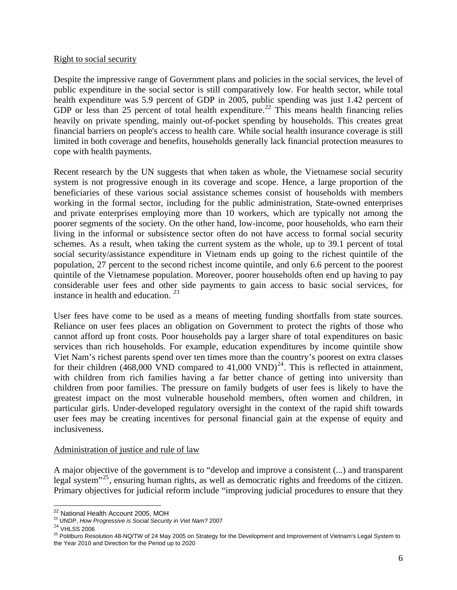#### Right to social security

Despite the impressive range of Government plans and policies in the social services, the level of public expenditure in the social sector is still comparatively low. For health sector, while total health expenditure was 5.9 percent of GDP in 2005, public spending was just 1.42 percent of GDP or less than 25 percent of total health expenditure.<sup>[22](#page-5-0)</sup> This means health financing relies heavily on private spending, mainly out-of-pocket spending by households. This creates great financial barriers on people's access to health care. While social health insurance coverage is still limited in both coverage and benefits, households generally lack financial protection measures to cope with health payments.

Recent research by the UN suggests that when taken as whole, the Vietnamese social security system is not progressive enough in its coverage and scope. Hence, a large proportion of the beneficiaries of these various social assistance schemes consist of households with members working in the formal sector, including for the public administration, State-owned enterprises and private enterprises employing more than 10 workers, which are typically not among the poorer segments of the society. On the other hand, low-income, poor households, who earn their living in the informal or subsistence sector often do not have access to formal social security schemes. As a result, when taking the current system as the whole, up to 39.1 percent of total social security/assistance expenditure in Vietnam ends up going to the richest quintile of the population, 27 percent to the second richest income quintile, and only 6.6 percent to the poorest quintile of the Vietnamese population. Moreover, poorer households often end up having to pay considerable user fees and other side payments to gain access to basic social services, for instance in health and education.  $23$ 

User fees have come to be used as a means of meeting funding shortfalls from state sources. Reliance on user fees places an obligation on Government to protect the rights of those who cannot afford up front costs. Poor households pay a larger share of total expenditures on basic services than rich households. For example, education expenditures by income quintile show Viet Nam's richest parents spend over ten times more than the country's poorest on extra classes for their children (468,000 VND compared to 41,000 VND)<sup>[24](#page-5-2)</sup>. This is reflected in attainment, with children from rich families having a far better chance of getting into university than children from poor families. The pressure on family budgets of user fees is likely to have the greatest impact on the most vulnerable household members, often women and children, in particular girls. Under-developed regulatory oversight in the context of the rapid shift towards user fees may be creating incentives for personal financial gain at the expense of equity and inclusiveness.

#### Administration of justice and rule of law

A major objective of the government is to "develop and improve a consistent (...) and transparent legal system $125$  $125$ , ensuring human rights, as well as democratic rights and freedoms of the citizen. Primary objectives for judicial reform include "improving judicial procedures to ensure that they

<span id="page-5-0"></span><sup>&</sup>lt;sup>22</sup> National Health Account 2005, MOH

<span id="page-5-3"></span><span id="page-5-2"></span>

<span id="page-5-1"></span><sup>23</sup> UNDP, How Progressive is Social Security in Viet Nam? 2007<br><sup>24</sup> VHLSS 2006<br><sup>25</sup> Politburo Resolution 48-NQ/TW of 24 May 2005 on Strategy for the Development and Improvement of Vietnam's Legal System to the Year 2010 and Direction for the Period up to 2020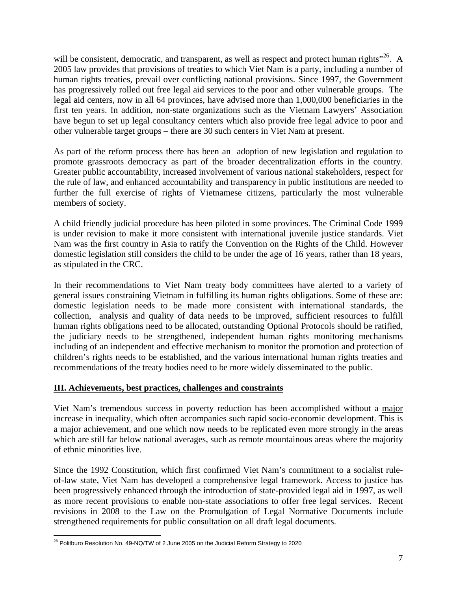will be consistent, democratic, and transparent, as well as respect and protect human rights $"^{26}$  $"^{26}$  $"^{26}$ . A 2005 law provides that provisions of treaties to which Viet Nam is a party, including a number of human rights treaties, prevail over conflicting national provisions. Since 1997, the Government has progressively rolled out free legal aid services to the poor and other vulnerable groups. The legal aid centers, now in all 64 provinces, have advised more than 1,000,000 beneficiaries in the first ten years. In addition, non-state organizations such as the Vietnam Lawyers' Association have begun to set up legal consultancy centers which also provide free legal advice to poor and other vulnerable target groups – there are 30 such centers in Viet Nam at present.

As part of the reform process there has been an adoption of new legislation and regulation to promote grassroots democracy as part of the broader decentralization efforts in the country. Greater public accountability, increased involvement of various national stakeholders, respect for the rule of law, and enhanced accountability and transparency in public institutions are needed to further the full exercise of rights of Vietnamese citizens, particularly the most vulnerable members of society.

A child friendly judicial procedure has been piloted in some provinces. The Criminal Code 1999 is under revision to make it more consistent with international juvenile justice standards. Viet Nam was the first country in Asia to ratify the Convention on the Rights of the Child. However domestic legislation still considers the child to be under the age of 16 years, rather than 18 years, as stipulated in the CRC.

In their recommendations to Viet Nam treaty body committees have alerted to a variety of general issues constraining Vietnam in fulfilling its human rights obligations. Some of these are: domestic legislation needs to be made more consistent with international standards, the collection, analysis and quality of data needs to be improved, sufficient resources to fulfill human rights obligations need to be allocated, outstanding Optional Protocols should be ratified, the judiciary needs to be strengthened, independent human rights monitoring mechanisms including of an independent and effective mechanism to monitor the promotion and protection of children's rights needs to be established, and the various international human rights treaties and recommendations of the treaty bodies need to be more widely disseminated to the public.

# **III. Achievements, best practices, challenges and constraints**

Viet Nam's tremendous success in poverty reduction has been accomplished without a major increase in inequality, which often accompanies such rapid socio-economic development. This is a major achievement, and one which now needs to be replicated even more strongly in the areas which are still far below national averages, such as remote mountainous areas where the majority of ethnic minorities live.

Since the 1992 Constitution, which first confirmed Viet Nam's commitment to a socialist ruleof-law state, Viet Nam has developed a comprehensive legal framework. Access to justice has been progressively enhanced through the introduction of state-provided legal aid in 1997, as well as more recent provisions to enable non-state associations to offer free legal services. Recent revisions in 2008 to the Law on the Promulgation of Legal Normative Documents include strengthened requirements for public consultation on all draft legal documents.

<span id="page-6-0"></span><sup>1</sup>  $^{26}$  Politburo Resolution No. 49-NQ/TW of 2 June 2005 on the Judicial Reform Strategy to 2020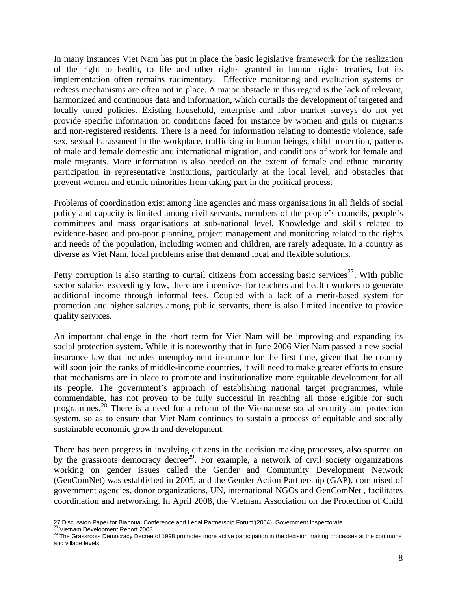In many instances Viet Nam has put in place the basic legislative framework for the realization of the right to health, to life and other rights granted in human rights treaties, but its implementation often remains rudimentary. Effective monitoring and evaluation systems or redress mechanisms are often not in place. A major obstacle in this regard is the lack of relevant, harmonized and continuous data and information, which curtails the development of targeted and locally tuned policies. Existing household, enterprise and labor market surveys do not yet provide specific information on conditions faced for instance by women and girls or migrants and non-registered residents. There is a need for information relating to domestic violence, safe sex, sexual harassment in the workplace, trafficking in human beings, child protection, patterns of male and female domestic and international migration, and conditions of work for female and male migrants. More information is also needed on the extent of female and ethnic minority participation in representative institutions, particularly at the local level, and obstacles that prevent women and ethnic minorities from taking part in the political process.

Problems of coordination exist among line agencies and mass organisations in all fields of social policy and capacity is limited among civil servants, members of the people's councils, people's committees and mass organisations at sub-national level. Knowledge and skills related to evidence-based and pro-poor planning, project management and monitoring related to the rights and needs of the population, including women and children, are rarely adequate. In a country as diverse as Viet Nam, local problems arise that demand local and flexible solutions.

Petty corruption is also starting to curtail citizens from accessing basic services<sup>[27](#page-7-0)</sup>. With public sector salaries exceedingly low, there are incentives for teachers and health workers to generate additional income through informal fees. Coupled with a lack of a merit-based system for promotion and higher salaries among public servants, there is also limited incentive to provide quality services.

An important challenge in the short term for Viet Nam will be improving and expanding its social protection system. While it is noteworthy that in June 2006 Viet Nam passed a new social insurance law that includes unemployment insurance for the first time, given that the country will soon join the ranks of middle-income countries, it will need to make greater efforts to ensure that mechanisms are in place to promote and institutionalize more equitable development for all its people. The government's approach of establishing national target programmes, while commendable, has not proven to be fully successful in reaching all those eligible for such programmes.[28](#page-7-1) There is a need for a reform of the Vietnamese social security and protection system, so as to ensure that Viet Nam continues to sustain a process of equitable and socially sustainable economic growth and development.

There has been progress in involving citizens in the decision making processes, also spurred on by the grassroots democracy decree<sup>[29](#page-7-2)</sup>. For example, a network of civil society organizations working on gender issues called the Gender and Community Development Network (GenComNet) was established in 2005, and the Gender Action Partnership (GAP), comprised of government agencies, donor organizations, UN, international NGOs and GenComNet , facilitates coordination and networking. In April 2008, the Vietnam Association on the Protection of Child

 $\overline{a}$ 

<span id="page-7-2"></span>

<span id="page-7-1"></span><span id="page-7-0"></span><sup>27</sup> Discussion Paper for Biannual Conference and Legal Partnership Forum'(2004), Government Inspectorate<br><sup>28</sup> Vietnam Development Report 2008<br><sup>29</sup> The Grassroots Democracy Decree of 1998 promotes more active participation i <sup>29</sup> The Grassroots Democracy Decree of 1998 promotes more active participation in the decision making processes at the commune and village levels.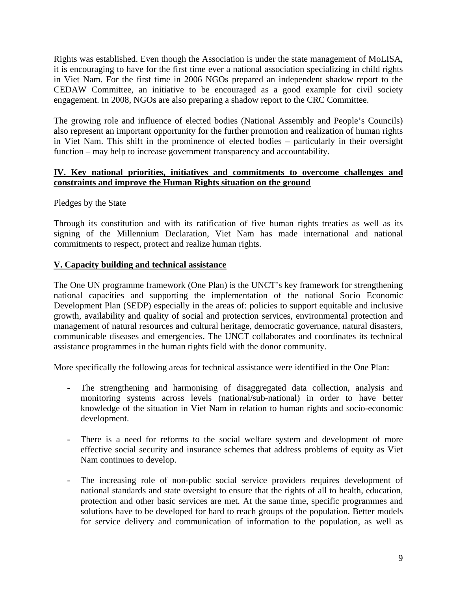Rights was established. Even though the Association is under the state management of MoLISA, it is encouraging to have for the first time ever a national association specializing in child rights in Viet Nam. For the first time in 2006 NGOs prepared an independent shadow report to the CEDAW Committee, an initiative to be encouraged as a good example for civil society engagement. In 2008, NGOs are also preparing a shadow report to the CRC Committee.

The growing role and influence of elected bodies (National Assembly and People's Councils) also represent an important opportunity for the further promotion and realization of human rights in Viet Nam. This shift in the prominence of elected bodies – particularly in their oversight function – may help to increase government transparency and accountability.

### **IV. Key national priorities, initiatives and commitments to overcome challenges and constraints and improve the Human Rights situation on the ground**

### Pledges by the State

Through its constitution and with its ratification of five human rights treaties as well as its signing of the Millennium Declaration, Viet Nam has made international and national commitments to respect, protect and realize human rights.

#### **V. Capacity building and technical assistance**

The One UN programme framework (One Plan) is the UNCT's key framework for strengthening national capacities and supporting the implementation of the national Socio Economic Development Plan (SEDP) especially in the areas of: policies to support equitable and inclusive growth, availability and quality of social and protection services, environmental protection and management of natural resources and cultural heritage, democratic governance, natural disasters, communicable diseases and emergencies. The UNCT collaborates and coordinates its technical assistance programmes in the human rights field with the donor community.

More specifically the following areas for technical assistance were identified in the One Plan:

- The strengthening and harmonising of disaggregated data collection, analysis and monitoring systems across levels (national/sub-national) in order to have better knowledge of the situation in Viet Nam in relation to human rights and socio-economic development.
- There is a need for reforms to the social welfare system and development of more effective social security and insurance schemes that address problems of equity as Viet Nam continues to develop.
- The increasing role of non-public social service providers requires development of national standards and state oversight to ensure that the rights of all to health, education, protection and other basic services are met. At the same time, specific programmes and solutions have to be developed for hard to reach groups of the population. Better models for service delivery and communication of information to the population, as well as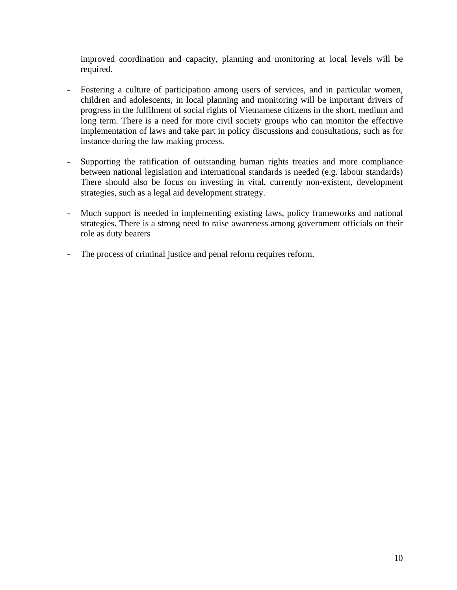improved coordination and capacity, planning and monitoring at local levels will be required.

- Fostering a culture of participation among users of services, and in particular women, children and adolescents, in local planning and monitoring will be important drivers of progress in the fulfilment of social rights of Vietnamese citizens in the short, medium and long term. There is a need for more civil society groups who can monitor the effective implementation of laws and take part in policy discussions and consultations, such as for instance during the law making process.
- Supporting the ratification of outstanding human rights treaties and more compliance between national legislation and international standards is needed (e.g. labour standards) There should also be focus on investing in vital, currently non-existent, development strategies, such as a legal aid development strategy.
- Much support is needed in implementing existing laws, policy frameworks and national strategies. There is a strong need to raise awareness among government officials on their role as duty bearers
- The process of criminal justice and penal reform requires reform.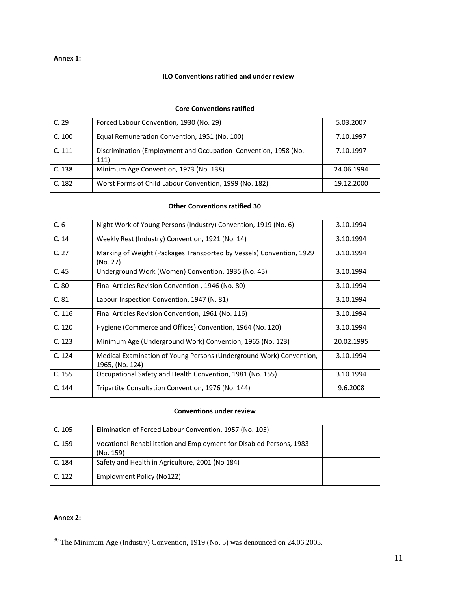#### **Annex 1:**

#### **ILO Conventions ratified and under review**

| <b>Core Conventions ratified</b>     |                                                                                        |            |  |
|--------------------------------------|----------------------------------------------------------------------------------------|------------|--|
| C.29                                 | Forced Labour Convention, 1930 (No. 29)                                                | 5.03.2007  |  |
| C.100                                | Equal Remuneration Convention, 1951 (No. 100)                                          | 7.10.1997  |  |
| C. 111                               | Discrimination (Employment and Occupation Convention, 1958 (No.<br>111)                | 7.10.1997  |  |
| C. 138                               | Minimum Age Convention, 1973 (No. 138)                                                 | 24.06.1994 |  |
| C.182                                | Worst Forms of Child Labour Convention, 1999 (No. 182)                                 | 19.12.2000 |  |
| <b>Other Conventions ratified 30</b> |                                                                                        |            |  |
| C.6                                  | Night Work of Young Persons (Industry) Convention, 1919 (No. 6)                        | 3.10.1994  |  |
| C.14                                 | Weekly Rest (Industry) Convention, 1921 (No. 14)                                       | 3.10.1994  |  |
| C.27                                 | Marking of Weight (Packages Transported by Vessels) Convention, 1929<br>(No. 27)       | 3.10.1994  |  |
| C.45                                 | Underground Work (Women) Convention, 1935 (No. 45)                                     | 3.10.1994  |  |
| C.80                                 | Final Articles Revision Convention, 1946 (No. 80)                                      | 3.10.1994  |  |
| C.81                                 | Labour Inspection Convention, 1947 (N. 81)                                             | 3.10.1994  |  |
| C. 116                               | Final Articles Revision Convention, 1961 (No. 116)                                     | 3.10.1994  |  |
| C. 120                               | Hygiene (Commerce and Offices) Convention, 1964 (No. 120)                              | 3.10.1994  |  |
| C. 123                               | Minimum Age (Underground Work) Convention, 1965 (No. 123)                              | 20.02.1995 |  |
| C. 124                               | Medical Examination of Young Persons (Underground Work) Convention,<br>1965, (No. 124) | 3.10.1994  |  |
| C. 155                               | Occupational Safety and Health Convention, 1981 (No. 155)                              | 3.10.1994  |  |
| C. 144                               | Tripartite Consultation Convention, 1976 (No. 144)                                     | 9.6.2008   |  |
| <b>Conventions under review</b>      |                                                                                        |            |  |
| C. 105                               | Elimination of Forced Labour Convention, 1957 (No. 105)                                |            |  |
| C. 159                               | Vocational Rehabilitation and Employment for Disabled Persons, 1983<br>(No. 159)       |            |  |
| C. 184                               | Safety and Health in Agriculture, 2001 (No 184)                                        |            |  |
| C. 122                               | Employment Policy (No122)                                                              |            |  |

#### **Annex 2:**

<span id="page-10-0"></span> $30$  The Minimum Age (Industry) Convention, 1919 (No. 5) was denounced on 24.06.2003.